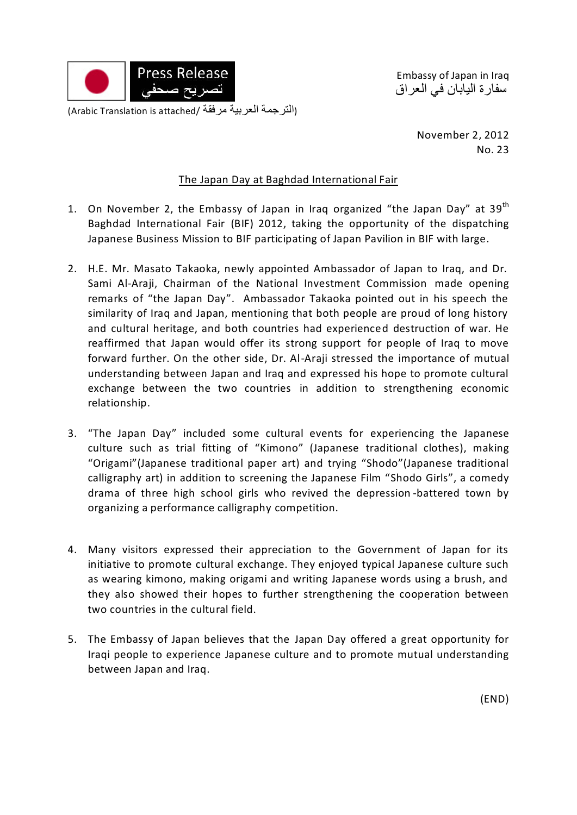

Embassy of Japan in Iraq سفارة اليابان في العراق

> November 2, 2012 No. 23

## The Japan Day at Baghdad International Fair

- 1. On November 2, the Embassy of Japan in Irag organized "the Japan Day" at 39<sup>th</sup> Baghdad International Fair (BIF) 2012, taking the opportunity of the dispatching Japanese Business Mission to BIF participating of Japan Pavilion in BIF with large.
- 2. H.E. Mr. Masato Takaoka, newly appointed Ambassador of Japan to Iraq, and Dr. Sami Al-Araji, Chairman of the National Investment Commission made opening remarks of "the Japan Day". Ambassador Takaoka pointed out in his speech the similarity of Iraq and Japan, mentioning that both people are proud of long history and cultural heritage, and both countries had experienced destruction of war. He reaffirmed that Japan would offer its strong support for people of Iraq to move forward further. On the other side, Dr. Al-Araji stressed the importance of mutual understanding between Japan and Iraq and expressed his hope to promote cultural exchange between the two countries in addition to strengthening economic relationship.
- 3. "The Japan Day" included some cultural events for experiencing the Japanese culture such as trial fitting of "Kimono" (Japanese traditional clothes), making "Origami"(Japanese traditional paper art) and trying "Shodo"(Japanese traditional calligraphy art) in addition to screening the Japanese Film "Shodo Girls", a comedy drama of three high school girls who revived the depression -battered town by organizing a performance calligraphy competition.
- 4. Many visitors expressed their appreciation to the Government of Japan for its initiative to promote cultural exchange. They enjoyed typical Japanese culture such as wearing kimono, making origami and writing Japanese words using a brush, and they also showed their hopes to further strengthening the cooperation between two countries in the cultural field.
- 5. The Embassy of Japan believes that the Japan Day offered a great opportunity for Iraqi people to experience Japanese culture and to promote mutual understanding between Japan and Iraq.